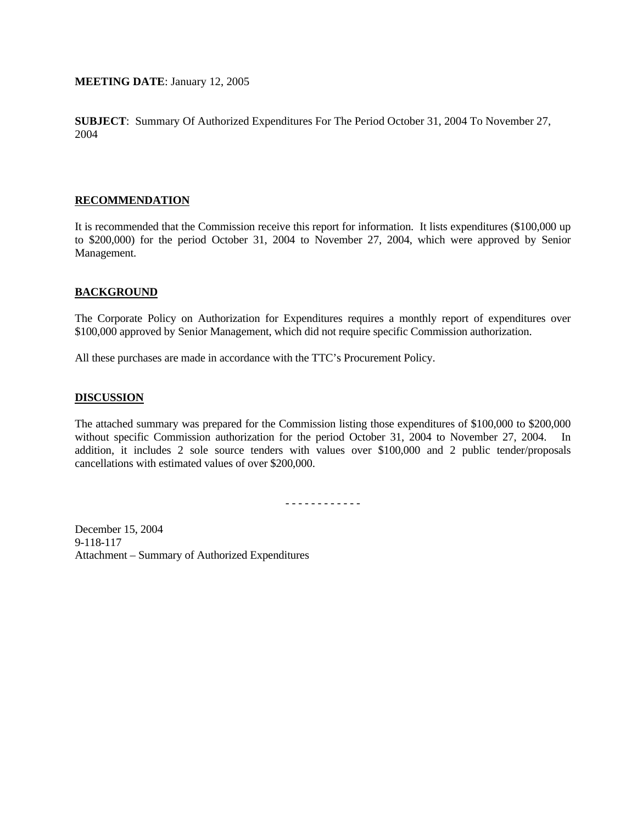## **MEETING DATE**: January 12, 2005

**SUBJECT**: Summary Of Authorized Expenditures For The Period October 31, 2004 To November 27, 2004

## **RECOMMENDATION**

It is recommended that the Commission receive this report for information. It lists expenditures (\$100,000 up to \$200,000) for the period October 31, 2004 to November 27, 2004, which were approved by Senior Management.

## **BACKGROUND**

The Corporate Policy on Authorization for Expenditures requires a monthly report of expenditures over \$100,000 approved by Senior Management, which did not require specific Commission authorization.

All these purchases are made in accordance with the TTC's Procurement Policy.

## **DISCUSSION**

The attached summary was prepared for the Commission listing those expenditures of \$100,000 to \$200,000 without specific Commission authorization for the period October 31, 2004 to November 27, 2004. In addition, it includes 2 sole source tenders with values over \$100,000 and 2 public tender/proposals cancellations with estimated values of over \$200,000.

- - - - - - - - - - - -

December 15, 2004 9-118-117 Attachment – Summary of Authorized Expenditures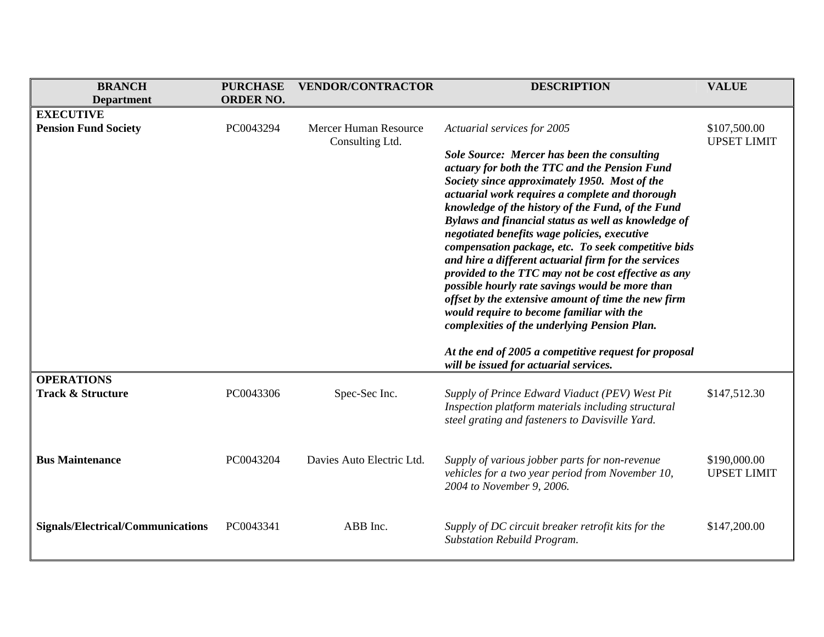| <b>BRANCH</b>                            | <b>PURCHASE</b>  | <b>VENDOR/CONTRACTOR</b>                 | <b>DESCRIPTION</b>                                                                                                                                                                                                                                                                                                                                                                                                                                                                                                                                                                                                                                                                                                                                | <b>VALUE</b>                       |
|------------------------------------------|------------------|------------------------------------------|---------------------------------------------------------------------------------------------------------------------------------------------------------------------------------------------------------------------------------------------------------------------------------------------------------------------------------------------------------------------------------------------------------------------------------------------------------------------------------------------------------------------------------------------------------------------------------------------------------------------------------------------------------------------------------------------------------------------------------------------------|------------------------------------|
| <b>Department</b>                        | <b>ORDER NO.</b> |                                          |                                                                                                                                                                                                                                                                                                                                                                                                                                                                                                                                                                                                                                                                                                                                                   |                                    |
| <b>EXECUTIVE</b>                         |                  |                                          |                                                                                                                                                                                                                                                                                                                                                                                                                                                                                                                                                                                                                                                                                                                                                   |                                    |
| <b>Pension Fund Society</b>              | PC0043294        | Mercer Human Resource<br>Consulting Ltd. | Actuarial services for 2005                                                                                                                                                                                                                                                                                                                                                                                                                                                                                                                                                                                                                                                                                                                       | \$107,500.00<br><b>UPSET LIMIT</b> |
|                                          |                  |                                          | <b>Sole Source: Mercer has been the consulting</b><br>actuary for both the TTC and the Pension Fund<br>Society since approximately 1950. Most of the<br>actuarial work requires a complete and thorough<br>knowledge of the history of the Fund, of the Fund<br>Bylaws and financial status as well as knowledge of<br>negotiated benefits wage policies, executive<br>compensation package, etc. To seek competitive bids<br>and hire a different actuarial firm for the services<br>provided to the TTC may not be cost effective as any<br>possible hourly rate savings would be more than<br>offset by the extensive amount of time the new firm<br>would require to become familiar with the<br>complexities of the underlying Pension Plan. |                                    |
|                                          |                  |                                          | At the end of 2005 a competitive request for proposal<br>will be issued for actuarial services.                                                                                                                                                                                                                                                                                                                                                                                                                                                                                                                                                                                                                                                   |                                    |
| <b>OPERATIONS</b>                        |                  |                                          |                                                                                                                                                                                                                                                                                                                                                                                                                                                                                                                                                                                                                                                                                                                                                   |                                    |
| <b>Track &amp; Structure</b>             | PC0043306        | Spec-Sec Inc.                            | Supply of Prince Edward Viaduct (PEV) West Pit<br>Inspection platform materials including structural<br>steel grating and fasteners to Davisville Yard.                                                                                                                                                                                                                                                                                                                                                                                                                                                                                                                                                                                           | \$147,512.30                       |
| <b>Bus Maintenance</b>                   | PC0043204        | Davies Auto Electric Ltd.                | Supply of various jobber parts for non-revenue<br>vehicles for a two year period from November 10,<br>2004 to November 9, 2006.                                                                                                                                                                                                                                                                                                                                                                                                                                                                                                                                                                                                                   | \$190,000.00<br><b>UPSET LIMIT</b> |
| <b>Signals/Electrical/Communications</b> | PC0043341        | ABB Inc.                                 | Supply of DC circuit breaker retrofit kits for the<br><b>Substation Rebuild Program.</b>                                                                                                                                                                                                                                                                                                                                                                                                                                                                                                                                                                                                                                                          | \$147,200.00                       |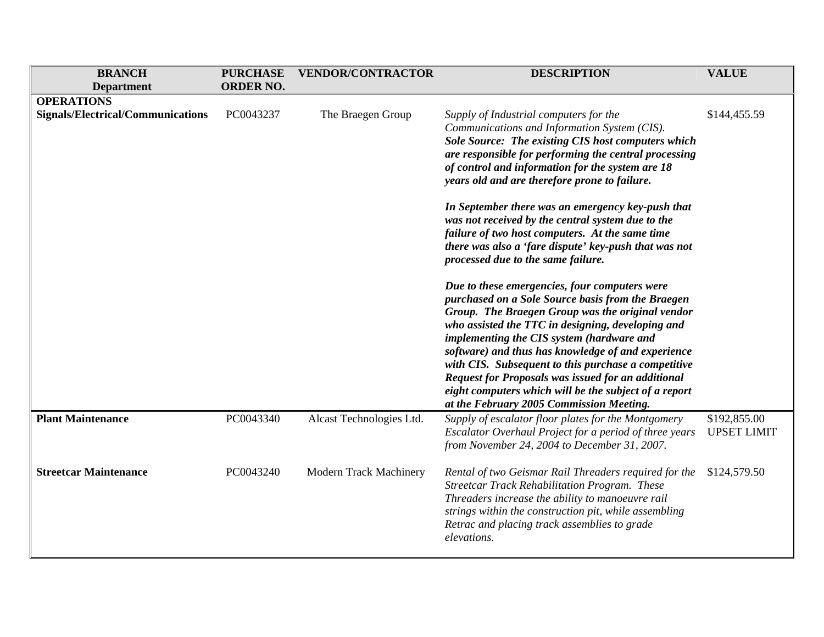| <b>BRANCH</b>                                                 | <b>PURCHASE</b>  | <b>VENDOR/CONTRACTOR</b> | <b>DESCRIPTION</b>                                                                                                                                                                                                                                                                                                                                                                                                                                                                                                                      | <b>VALUE</b>                       |
|---------------------------------------------------------------|------------------|--------------------------|-----------------------------------------------------------------------------------------------------------------------------------------------------------------------------------------------------------------------------------------------------------------------------------------------------------------------------------------------------------------------------------------------------------------------------------------------------------------------------------------------------------------------------------------|------------------------------------|
| <b>Department</b>                                             | <b>ORDER NO.</b> |                          |                                                                                                                                                                                                                                                                                                                                                                                                                                                                                                                                         |                                    |
| <b>OPERATIONS</b><br><b>Signals/Electrical/Communications</b> | PC0043237        | The Braegen Group        | Supply of Industrial computers for the<br>Communications and Information System (CIS).<br>Sole Source: The existing CIS host computers which<br>are responsible for performing the central processing<br>of control and information for the system are 18<br>years old and are therefore prone to failure.                                                                                                                                                                                                                              | \$144,455.59                       |
|                                                               |                  |                          | In September there was an emergency key-push that<br>was not received by the central system due to the<br>failure of two host computers. At the same time<br>there was also a 'fare dispute' key-push that was not<br>processed due to the same failure.                                                                                                                                                                                                                                                                                |                                    |
|                                                               |                  |                          | Due to these emergencies, four computers were<br>purchased on a Sole Source basis from the Braegen<br>Group. The Braegen Group was the original vendor<br>who assisted the TTC in designing, developing and<br>implementing the CIS system (hardware and<br>software) and thus has knowledge of and experience<br>with CIS. Subsequent to this purchase a competitive<br><b>Request for Proposals was issued for an additional</b><br>eight computers which will be the subject of a report<br>at the February 2005 Commission Meeting. |                                    |
| <b>Plant Maintenance</b>                                      | PC0043340        | Alcast Technologies Ltd. | Supply of escalator floor plates for the Montgomery<br>Escalator Overhaul Project for a period of three years<br>from November 24, 2004 to December 31, 2007.                                                                                                                                                                                                                                                                                                                                                                           | \$192,855.00<br><b>UPSET LIMIT</b> |
| <b>Streetcar Maintenance</b>                                  | PC0043240        | Modern Track Machinery   | Rental of two Geismar Rail Threaders required for the<br><b>Streetcar Track Rehabilitation Program. These</b><br>Threaders increase the ability to manoeuvre rail<br>strings within the construction pit, while assembling<br>Retrac and placing track assemblies to grade<br>elevations.                                                                                                                                                                                                                                               | \$124,579.50                       |